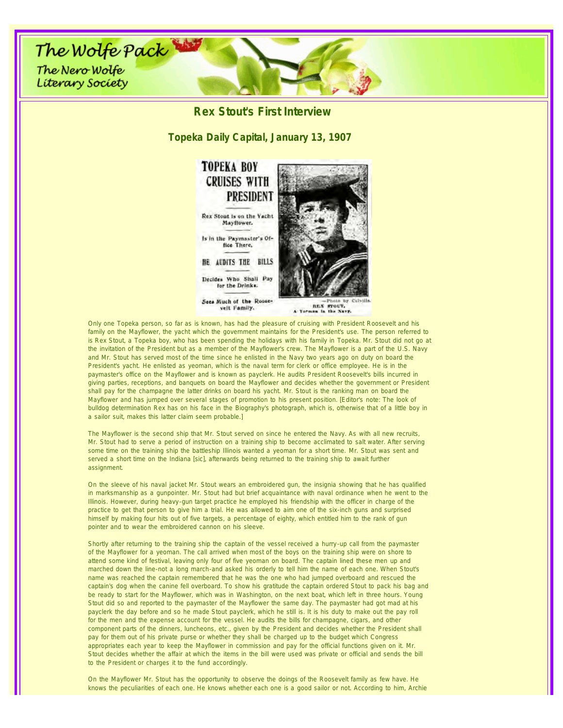

REX STOUT,

Only one Topeka person, so far as is known, has had the pleasure of cruising with President Roosevelt and his family on the Mayflower, the yacht which the government maintains for the President's use. The person referred to is Rex Stout, a Topeka boy, who has been spending the holidays with his family in Topeka. Mr. Stout did not go at the invitation of the President but as a member of the Mayflower's crew. The Mayflower is a part of the U.S. Navy and Mr. Stout has served most of the time since he enlisted in the Navy two years ago on duty on board the President's yacht. He enlisted as yeoman, which is the naval term for clerk or office employee. He is in the paymaster's office on the Mayflower and is known as payclerk. He audits President Roosevelt's bills incurred in giving parties, receptions, and banquets on board the Mayflower and decides whether the government or President shall pay for the champagne the latter drinks on board his yacht. Mr. Stout is the ranking man on board the Mayflower and has jumped over several stages of promotion to his present position. [Editor's note: The look of bulldog determination Rex has on his face in the Biography's photograph, which is, otherwise that of a little boy in a sailor suit, makes this latter claim seem probable.]

The Mayflower is the second ship that Mr. Stout served on since he entered the Navy. As with all new recruits, Mr. Stout had to serve a period of instruction on a training ship to become acclimated to salt water. After serving some time on the training ship the battleship Illinois wanted a yeoman for a short time. Mr. Stout was sent and served a short time on the Indiana [sic], afterwards being returned to the training ship to await further assignment.

On the sleeve of his naval jacket Mr. Stout wears an embroidered gun, the insignia showing that he has qualified in marksmanship as a gunpointer. Mr. Stout had but brief acquaintance with naval ordinance when he went to the Illinois. However, during heavy-gun target practice he employed his friendship with the officer in charge of the practice to get that person to give him a trial. He was allowed to aim one of the six-inch guns and surprised himself by making four hits out of five targets, a percentage of eighty, which entitled him to the rank of gun pointer and to wear the embroidered cannon on his sleeve.

Shortly after returning to the training ship the captain of the vessel received a hurry-up call from the paymaster of the Mayflower for a yeoman. The call arrived when most of the boys on the training ship were on shore to attend some kind of festival, leaving only four of five yeoman on board. The captain lined these men up and marched down the line-not a long march-and asked his orderly to tell him the name of each one. When Stout's name was reached the captain remembered that he was the one who had jumped overboard and rescued the captain's dog when the canine fell overboard. To show his gratitude the captain ordered Stout to pack his bag and be ready to start for the Mayflower, which was in Washington, on the next boat, which left in three hours. Young Stout did so and reported to the paymaster of the Mayflower the same day. The paymaster had got mad at his payclerk the day before and so he made Stout payclerk, which he still is. It is his duty to make out the pay roll for the men and the expense account for the vessel. He audits the bills for champagne, cigars, and other component parts of the dinners, luncheons, etc., given by the President and decides whether the President shall pay for them out of his private purse or whether they shall be charged up to the budget which Congress appropriates each year to keep the Mayflower in commission and pay for the official functions given on it. Mr. Stout decides whether the affair at which the items in the bill were used was private or official and sends the bill to the President or charges it to the fund accordingly.

On the Mayflower Mr. Stout has the opportunity to observe the doings of the Roosevelt family as few have. He knows the peculiarities of each one. He knows whether each one is a good sailor or not. According to him, Archie